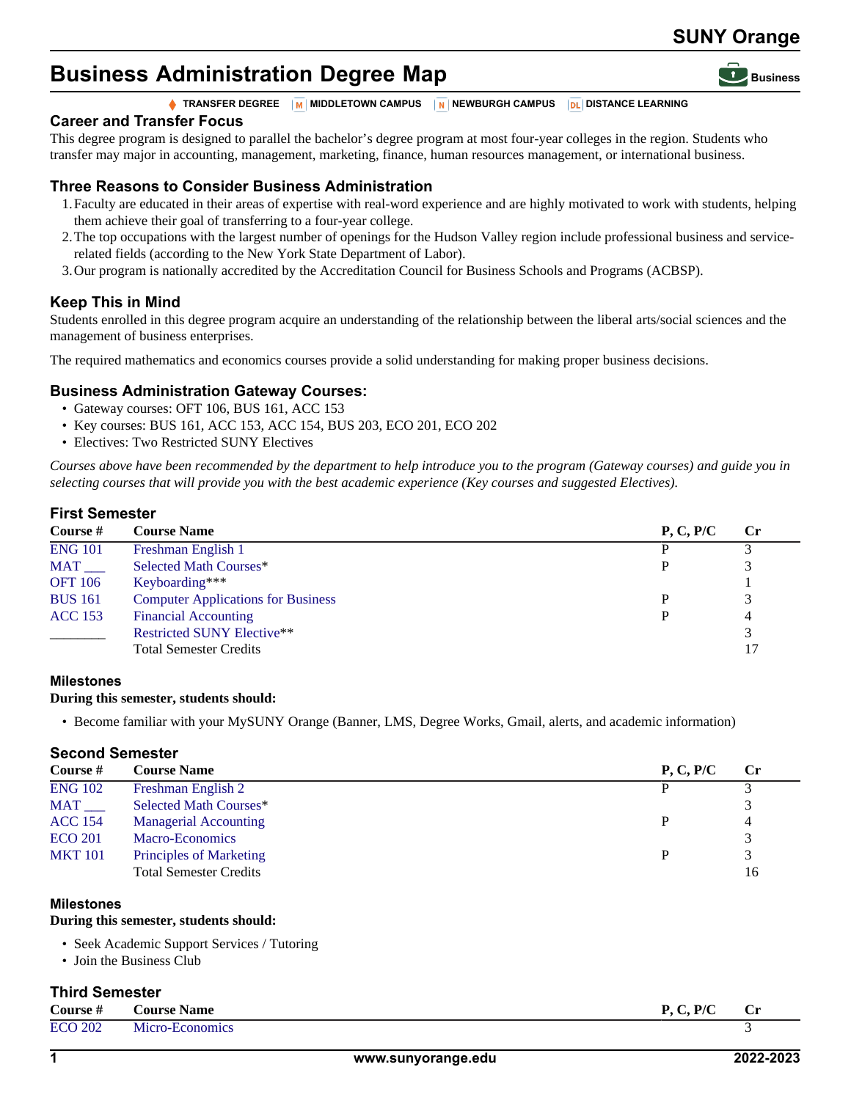## **SUNY Orange**

# **Business Administration Degree Map**



**TRANSFER DEGREE M** MIDDLETOWN CAMPUS **N** NEWBURGH CAMPUS **DL** DISTANCE LEARNING

## **Career and Transfer Focus**

This degree program is designed to parallel the bachelor's degree program at most four-year colleges in the region. Students who transfer may major in accounting, management, marketing, finance, human resources management, or international business.

## **Three Reasons to Consider Business Administration**

- 1.Faculty are educated in their areas of expertise with real-word experience and are highly motivated to work with students, helping them achieve their goal of transferring to a four-year college.
- 2.The top occupations with the largest number of openings for the Hudson Valley region include professional business and servicerelated fields (according to the New York State Department of Labor).
- 3.Our program is nationally accredited by the Accreditation Council for Business Schools and Programs (ACBSP).

## **Keep This in Mind**

Students enrolled in this degree program acquire an understanding of the relationship between the liberal arts/social sciences and the management of business enterprises.

The required mathematics and economics courses provide a solid understanding for making proper business decisions.

## **Business Administration Gateway Courses:**

- Gateway courses: OFT 106, BUS 161, ACC 153
- Key courses: BUS 161, ACC 153, ACC 154, BUS 203, ECO 201, ECO 202
- Electives: Two Restricted SUNY Electives

*Courses above have been recommended by the department to help introduce you to the program (Gateway courses) and guide you in selecting courses that will provide you with the best academic experience (Key courses and suggested Electives).*

## **First Semester**

| Course #              | <b>Course Name</b>                        | P, C, P/C | <b>Cr</b> |
|-----------------------|-------------------------------------------|-----------|-----------|
| <b>ENG 101</b>        | Freshman English 1                        |           |           |
| $MAT$ <sub>____</sub> | Selected Math Courses*                    |           |           |
| <b>OFT</b> 106        | Keyboarding***                            |           |           |
| <b>BUS 161</b>        | <b>Computer Applications for Business</b> |           | 3         |
| <b>ACC</b> 153        | <b>Financial Accounting</b>               |           | 4         |
|                       | <b>Restricted SUNY Elective**</b>         |           |           |
|                       | <b>Total Semester Credits</b>             |           | 17        |

## **Milestones**

#### **During this semester, students should:**

• Become familiar with your MySUNY Orange (Banner, LMS, Degree Works, Gmail, alerts, and academic information)

## **Second Semester**

| Course #              | <b>Course Name</b>             | P, C, P/C | <b>Cr</b> |
|-----------------------|--------------------------------|-----------|-----------|
| <b>ENG 102</b>        | Freshman English 2             |           |           |
| $MAT$ <sub>____</sub> | Selected Math Courses*         |           |           |
| <b>ACC 154</b>        | <b>Managerial Accounting</b>   | D         | 4         |
| <b>ECO 201</b>        | Macro-Economics                |           |           |
| <b>MKT 101</b>        | <b>Principles of Marketing</b> | D         | 3         |
|                       | <b>Total Semester Credits</b>  |           | 16        |
|                       |                                |           |           |

#### **Milestones**

#### **During this semester, students should:**

- Seek Academic Support Services / Tutoring
- Join the Business Club

## **Third Semester**

| Course $#$     | <b>Course Name</b> | P, C, P/C | <b>Cr</b> |
|----------------|--------------------|-----------|-----------|
| <b>ECO 202</b> | Micro-Economics    |           |           |